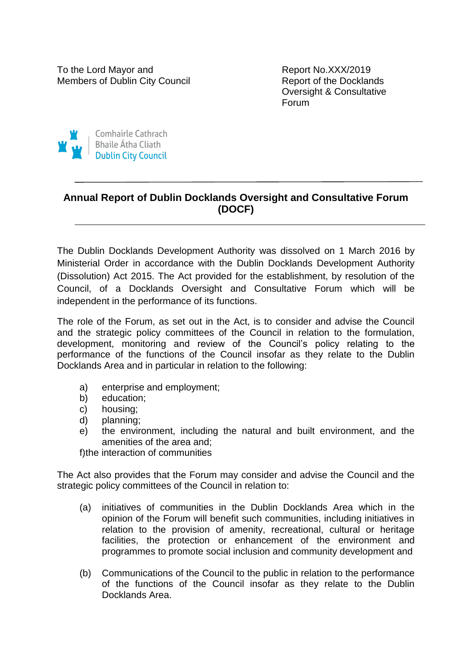To the Lord Mayor and The Report No.XXX/2019 Members of Dublin City Council **Report of the Docklands** 

Oversight & Consultative Forum



#### **Annual Report of Dublin Docklands Oversight and Consultative Forum (DOCF)**

The Dublin Docklands Development Authority was dissolved on 1 March 2016 by Ministerial Order in accordance with the Dublin Docklands Development Authority (Dissolution) Act 2015. The Act provided for the establishment, by resolution of the Council, of a Docklands Oversight and Consultative Forum which will be independent in the performance of its functions.

The role of the Forum, as set out in the Act, is to consider and advise the Council and the strategic policy committees of the Council in relation to the formulation, development, monitoring and review of the Council's policy relating to the performance of the functions of the Council insofar as they relate to the Dublin Docklands Area and in particular in relation to the following:

- a) enterprise and employment;
- b) education;
- c) housing;
- d) planning;
- e) the environment, including the natural and built environment, and the amenities of the area and;

f)the interaction of communities

The Act also provides that the Forum may consider and advise the Council and the strategic policy committees of the Council in relation to:

- (a) initiatives of communities in the Dublin Docklands Area which in the opinion of the Forum will benefit such communities, including initiatives in relation to the provision of amenity, recreational, cultural or heritage facilities, the protection or enhancement of the environment and programmes to promote social inclusion and community development and
- (b) Communications of the Council to the public in relation to the performance of the functions of the Council insofar as they relate to the Dublin Docklands Area.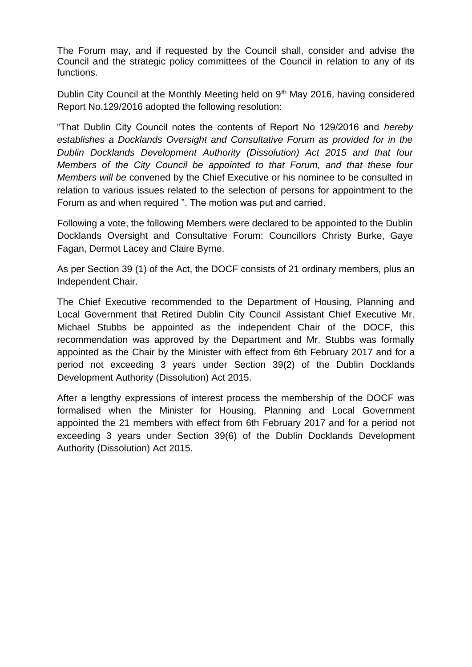The Forum may, and if requested by the Council shall, consider and advise the Council and the strategic policy committees of the Council in relation to any of its functions.

Dublin City Council at the Monthly Meeting held on 9<sup>th</sup> May 2016, having considered Report No.129/2016 adopted the following resolution:

"That Dublin City Council notes the contents of Report No 129/2016 and *hereby establishes a Docklands Oversight and Consultative Forum as provided for in the Dublin Docklands Development Authority (Dissolution) Act 2015 and that four Members of the City Council be appointed to that Forum, and that these four Members will be* convened by the Chief Executive or his nominee to be consulted in relation to various issues related to the selection of persons for appointment to the Forum as and when required ". The motion was put and carried.

Following a vote, the following Members were declared to be appointed to the Dublin Docklands Oversight and Consultative Forum: Councillors Christy Burke, Gaye Fagan, Dermot Lacey and Claire Byrne.

As per Section 39 (1) of the Act, the DOCF consists of 21 ordinary members, plus an Independent Chair.

The Chief Executive recommended to the Department of Housing, Planning and Local Government that Retired Dublin City Council Assistant Chief Executive Mr. Michael Stubbs be appointed as the independent Chair of the DOCF, this recommendation was approved by the Department and Mr. Stubbs was formally appointed as the Chair by the Minister with effect from 6th February 2017 and for a period not exceeding 3 years under Section 39(2) of the Dublin Docklands Development Authority (Dissolution) Act 2015.

After a lengthy expressions of interest process the membership of the DOCF was formalised when the Minister for Housing, Planning and Local Government appointed the 21 members with effect from 6th February 2017 and for a period not exceeding 3 years under Section 39(6) of the Dublin Docklands Development Authority (Dissolution) Act 2015.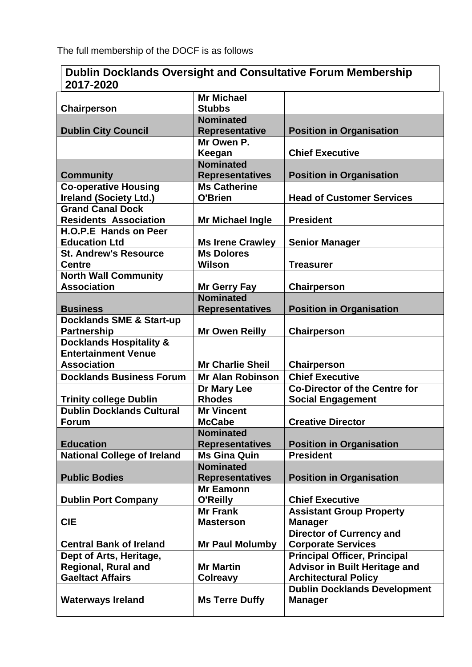### **Dublin Docklands Oversight and Consultative Forum Membership 2017-2020**

|                                                   | <b>Mr Michael</b>                       |                                      |
|---------------------------------------------------|-----------------------------------------|--------------------------------------|
| Chairperson                                       | <b>Stubbs</b>                           |                                      |
|                                                   | <b>Nominated</b>                        |                                      |
| <b>Dublin City Council</b>                        | <b>Representative</b>                   | <b>Position in Organisation</b>      |
|                                                   | Mr Owen P.                              |                                      |
|                                                   | Keegan                                  | <b>Chief Executive</b>               |
|                                                   | <b>Nominated</b>                        |                                      |
| <b>Community</b>                                  | <b>Representatives</b>                  | <b>Position in Organisation</b>      |
| <b>Co-operative Housing</b>                       | <b>Ms Catherine</b>                     |                                      |
| <b>Ireland (Society Ltd.)</b>                     | O'Brien                                 | <b>Head of Customer Services</b>     |
| <b>Grand Canal Dock</b>                           |                                         |                                      |
| <b>Residents Association</b>                      | <b>Mr Michael Ingle</b>                 | <b>President</b>                     |
| H.O.P.E Hands on Peer                             |                                         |                                      |
| <b>Education Ltd</b>                              | <b>Ms Irene Crawley</b>                 | <b>Senior Manager</b>                |
| <b>St. Andrew's Resource</b>                      | <b>Ms Dolores</b>                       |                                      |
| <b>Centre</b>                                     | Wilson                                  |                                      |
|                                                   |                                         | <b>Treasurer</b>                     |
| <b>North Wall Community</b><br><b>Association</b> |                                         |                                      |
|                                                   | <b>Mr Gerry Fay</b><br><b>Nominated</b> | Chairperson                          |
|                                                   |                                         |                                      |
| <b>Business</b>                                   | <b>Representatives</b>                  | <b>Position in Organisation</b>      |
| <b>Docklands SME &amp; Start-up</b>               |                                         |                                      |
| <b>Partnership</b>                                | <b>Mr Owen Reilly</b>                   | <b>Chairperson</b>                   |
| <b>Docklands Hospitality &amp;</b>                |                                         |                                      |
| <b>Entertainment Venue</b>                        |                                         |                                      |
| <b>Association</b>                                | <b>Mr Charlie Sheil</b>                 | Chairperson                          |
| <b>Docklands Business Forum</b>                   | <b>Mr Alan Robinson</b>                 | <b>Chief Executive</b>               |
|                                                   | Dr Mary Lee                             | <b>Co-Director of the Centre for</b> |
| <b>Trinity college Dublin</b>                     | <b>Rhodes</b>                           | <b>Social Engagement</b>             |
| <b>Dublin Docklands Cultural</b>                  | <b>Mr Vincent</b>                       |                                      |
| <b>Forum</b>                                      | <b>McCabe</b>                           | <b>Creative Director</b>             |
|                                                   | <b>Nominated</b>                        |                                      |
| <b>Education</b>                                  | <b>Representatives</b>                  | <b>Position in Organisation</b>      |
| <b>National College of Ireland</b>                | <b>Ms Gina Quin</b>                     | <b>President</b>                     |
|                                                   | <b>Nominated</b>                        |                                      |
| <b>Public Bodies</b>                              | <b>Representatives</b>                  | <b>Position in Organisation</b>      |
|                                                   | <b>Mr Eamonn</b>                        |                                      |
| <b>Dublin Port Company</b>                        | O'Reilly                                | <b>Chief Executive</b>               |
|                                                   | <b>Mr Frank</b>                         | <b>Assistant Group Property</b>      |
| <b>CIE</b>                                        | <b>Masterson</b>                        | <b>Manager</b>                       |
|                                                   |                                         | <b>Director of Currency and</b>      |
| <b>Central Bank of Ireland</b>                    | <b>Mr Paul Molumby</b>                  | <b>Corporate Services</b>            |
| Dept of Arts, Heritage,                           |                                         | <b>Principal Officer, Principal</b>  |
| <b>Regional, Rural and</b>                        | <b>Mr Martin</b>                        | <b>Advisor in Built Heritage and</b> |
| <b>Gaeltact Affairs</b>                           | <b>Colreavy</b>                         | <b>Architectural Policy</b>          |
|                                                   |                                         | <b>Dublin Docklands Development</b>  |
| <b>Waterways Ireland</b>                          | <b>Ms Terre Duffy</b>                   | <b>Manager</b>                       |
|                                                   |                                         |                                      |
|                                                   |                                         |                                      |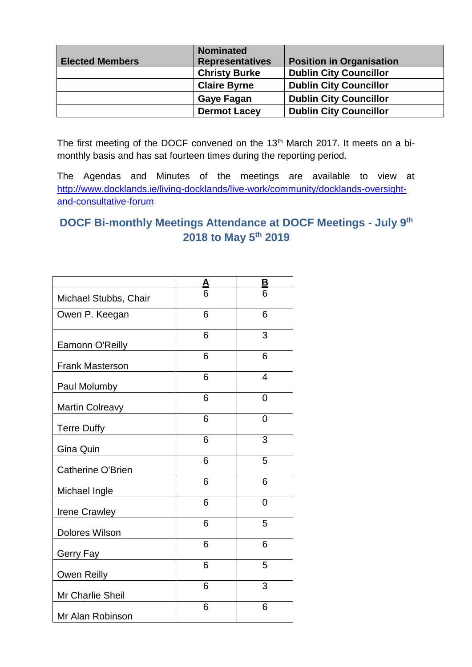|                        | <b>Nominated</b>       |                                 |
|------------------------|------------------------|---------------------------------|
| <b>Elected Members</b> | <b>Representatives</b> | <b>Position in Organisation</b> |
|                        | <b>Christy Burke</b>   | <b>Dublin City Councillor</b>   |
|                        | <b>Claire Byrne</b>    | <b>Dublin City Councillor</b>   |
|                        | <b>Gaye Fagan</b>      | <b>Dublin City Councillor</b>   |
|                        | <b>Dermot Lacey</b>    | <b>Dublin City Councillor</b>   |

The first meeting of the DOCF convened on the 13<sup>th</sup> March 2017. It meets on a bimonthly basis and has sat fourteen times during the reporting period.

The Agendas and Minutes of the meetings are available to view at [http://www.docklands.ie/living-docklands/live-work/community/docklands-oversight](http://www.docklands.ie/living-docklands/live-work/community/docklands-oversight-and-consultative-forum)[and-consultative-forum](http://www.docklands.ie/living-docklands/live-work/community/docklands-oversight-and-consultative-forum)

# **DOCF Bi-monthly Meetings Attendance at DOCF Meetings - July 9th 2018 to May 5th 2019**

|                          | A | В                        |
|--------------------------|---|--------------------------|
| Michael Stubbs, Chair    | 6 | 6                        |
| Owen P. Keegan           | 6 | 6                        |
| Eamonn O'Reilly          | 6 | 3                        |
| <b>Frank Masterson</b>   | 6 | 6                        |
| Paul Molumby             | 6 | $\overline{\mathcal{A}}$ |
| Martin Colreavy          | 6 | $\overline{0}$           |
| <b>Terre Duffy</b>       | 6 | 0                        |
| Gina Quin                | 6 | 3                        |
| <b>Catherine O'Brien</b> | 6 | 5                        |
| Michael Ingle            | 6 | 6                        |
| <b>Irene Crawley</b>     | 6 | 0                        |
| <b>Dolores Wilson</b>    | 6 | 5                        |
| Gerry Fay                | 6 | 6                        |
| Owen Reilly              | 6 | 5                        |
| Mr Charlie Sheil         | 6 | 3                        |
| Mr Alan Robinson         | 6 | 6                        |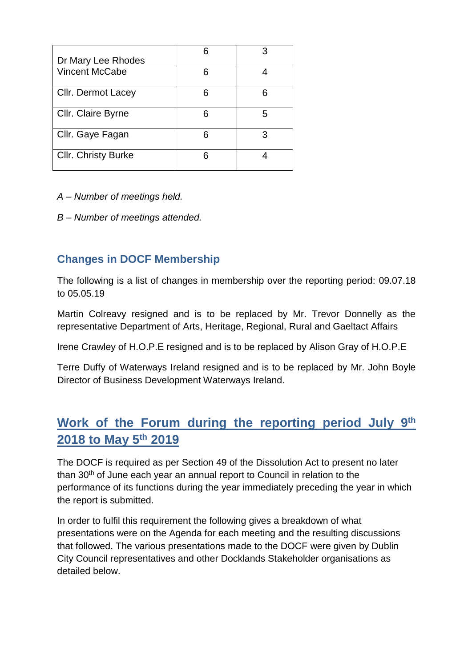| Dr Mary Lee Rhodes         |    |   |
|----------------------------|----|---|
| Vincent McCabe             | ิค |   |
| Cllr. Dermot Lacey         | ิค | 6 |
| <b>Cllr.</b> Claire Byrne  | ิค | 5 |
| Cllr. Gaye Fagan           |    | З |
| <b>Cllr. Christy Burke</b> |    |   |

- *A – Number of meetings held.*
- *B – Number of meetings attended.*

## **Changes in DOCF Membership**

The following is a list of changes in membership over the reporting period: 09.07.18 to 05.05.19

Martin Colreavy resigned and is to be replaced by Mr. Trevor Donnelly as the representative Department of Arts, Heritage, Regional, Rural and Gaeltact Affairs

Irene Crawley of H.O.P.E resigned and is to be replaced by Alison Gray of H.O.P.E

Terre Duffy of Waterways Ireland resigned and is to be replaced by Mr. John Boyle Director of Business Development Waterways Ireland.

# **Work of the Forum during the reporting period July 9th 2018 to May 5 th 2019**

The DOCF is required as per Section 49 of the Dissolution Act to present no later than 30<sup>th</sup> of June each year an annual report to Council in relation to the performance of its functions during the year immediately preceding the year in which the report is submitted.

In order to fulfil this requirement the following gives a breakdown of what presentations were on the Agenda for each meeting and the resulting discussions that followed. The various presentations made to the DOCF were given by Dublin City Council representatives and other Docklands Stakeholder organisations as detailed below.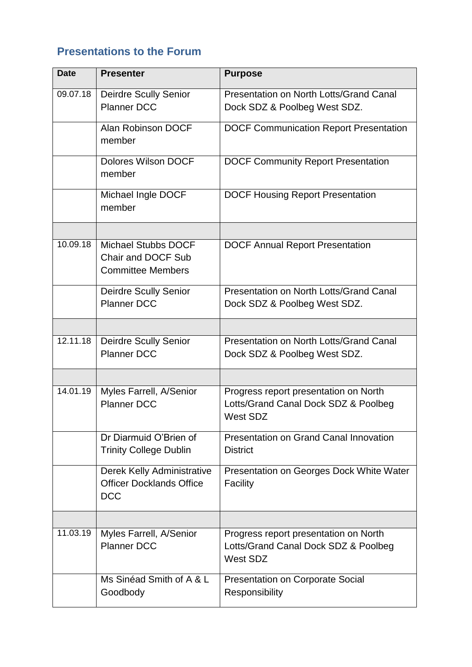# **Presentations to the Forum**

| <b>Date</b> | <b>Presenter</b>                                                            | <b>Purpose</b>                                                                            |
|-------------|-----------------------------------------------------------------------------|-------------------------------------------------------------------------------------------|
| 09.07.18    | <b>Deirdre Scully Senior</b><br><b>Planner DCC</b>                          | Presentation on North Lotts/Grand Canal<br>Dock SDZ & Poolbeg West SDZ.                   |
|             | Alan Robinson DOCF<br>member                                                | <b>DOCF Communication Report Presentation</b>                                             |
|             | Dolores Wilson DOCF<br>member                                               | <b>DOCF Community Report Presentation</b>                                                 |
|             | Michael Ingle DOCF<br>member                                                | <b>DOCF Housing Report Presentation</b>                                                   |
| 10.09.18    | <b>Michael Stubbs DOCF</b>                                                  | <b>DOCF Annual Report Presentation</b>                                                    |
|             | Chair and DOCF Sub<br><b>Committee Members</b>                              |                                                                                           |
|             | Deirdre Scully Senior<br><b>Planner DCC</b>                                 | Presentation on North Lotts/Grand Canal<br>Dock SDZ & Poolbeg West SDZ.                   |
|             |                                                                             |                                                                                           |
| 12.11.18    | <b>Deirdre Scully Senior</b><br><b>Planner DCC</b>                          | Presentation on North Lotts/Grand Canal<br>Dock SDZ & Poolbeg West SDZ.                   |
|             |                                                                             |                                                                                           |
| 14.01.19    | Myles Farrell, A/Senior<br><b>Planner DCC</b>                               | Progress report presentation on North<br>Lotts/Grand Canal Dock SDZ & Poolbeg<br>West SDZ |
|             | Dr Diarmuid O'Brien of<br><b>Trinity College Dublin</b>                     | <b>Presentation on Grand Canal Innovation</b><br><b>District</b>                          |
|             | Derek Kelly Administrative<br><b>Officer Docklands Office</b><br><b>DCC</b> | Presentation on Georges Dock White Water<br>Facility                                      |
|             |                                                                             |                                                                                           |
| 11.03.19    | Myles Farrell, A/Senior<br><b>Planner DCC</b>                               | Progress report presentation on North<br>Lotts/Grand Canal Dock SDZ & Poolbeg<br>West SDZ |
|             | Ms Sinéad Smith of A & L<br>Goodbody                                        | Presentation on Corporate Social<br>Responsibility                                        |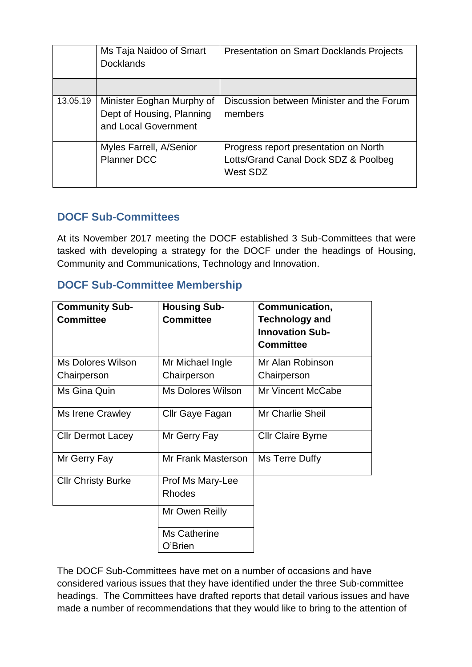|          | Ms Taja Naidoo of Smart<br><b>Docklands</b>                                    | <b>Presentation on Smart Docklands Projects</b>                                           |
|----------|--------------------------------------------------------------------------------|-------------------------------------------------------------------------------------------|
|          |                                                                                |                                                                                           |
| 13.05.19 | Minister Eoghan Murphy of<br>Dept of Housing, Planning<br>and Local Government | Discussion between Minister and the Forum<br>members                                      |
|          | Myles Farrell, A/Senior<br><b>Planner DCC</b>                                  | Progress report presentation on North<br>Lotts/Grand Canal Dock SDZ & Poolbeg<br>West SDZ |

### **DOCF Sub-Committees**

At its November 2017 meeting the DOCF established 3 Sub-Committees that were tasked with developing a strategy for the DOCF under the headings of Housing, Community and Communications, Technology and Innovation.

### **DOCF Sub-Committee Membership**

| <b>Community Sub-</b><br><b>Committee</b> | <b>Housing Sub-</b><br><b>Committee</b> | Communication,<br><b>Technology and</b><br><b>Innovation Sub-</b><br><b>Committee</b> |
|-------------------------------------------|-----------------------------------------|---------------------------------------------------------------------------------------|
| <b>Ms Dolores Wilson</b><br>Chairperson   | Mr Michael Ingle<br>Chairperson         | Mr Alan Robinson<br>Chairperson                                                       |
| Ms Gina Quin                              | <b>Ms Dolores Wilson</b>                | <b>Mr Vincent McCabe</b>                                                              |
| Ms Irene Crawley                          | Cllr Gaye Fagan                         | Mr Charlie Sheil                                                                      |
| <b>Cllr Dermot Lacey</b>                  | Mr Gerry Fay                            | <b>Cllr Claire Byrne</b>                                                              |
| Mr Gerry Fay                              | Mr Frank Masterson                      | Ms Terre Duffy                                                                        |
| <b>CIIr Christy Burke</b>                 | Prof Ms Mary-Lee<br><b>Rhodes</b>       |                                                                                       |
|                                           | Mr Owen Reilly                          |                                                                                       |
|                                           | <b>Ms Catherine</b><br>O'Brien          |                                                                                       |

The DOCF Sub-Committees have met on a number of occasions and have considered various issues that they have identified under the three Sub-committee headings. The Committees have drafted reports that detail various issues and have made a number of recommendations that they would like to bring to the attention of